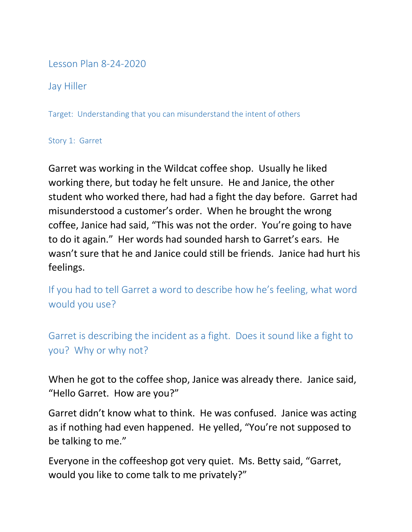## Lesson Plan 8-24-2020

Jay Hiller

Target: Understanding that you can misunderstand the intent of others

## Story 1: Garret

Garret was working in the Wildcat coffee shop. Usually he liked working there, but today he felt unsure. He and Janice, the other student who worked there, had had a fight the day before. Garret had misunderstood a customer's order. When he brought the wrong coffee, Janice had said, "This was not the order. You're going to have to do it again." Her words had sounded harsh to Garret's ears. He wasn't sure that he and Janice could still be friends. Janice had hurt his feelings.

If you had to tell Garret a word to describe how he's feeling, what word would you use?

Garret is describing the incident as a fight. Does it sound like a fight to you? Why or why not?

When he got to the coffee shop, Janice was already there. Janice said, "Hello Garret. How are you?"

Garret didn't know what to think. He was confused. Janice was acting as if nothing had even happened. He yelled, "You're not supposed to be talking to me."

Everyone in the coffeeshop got very quiet. Ms. Betty said, "Garret, would you like to come talk to me privately?"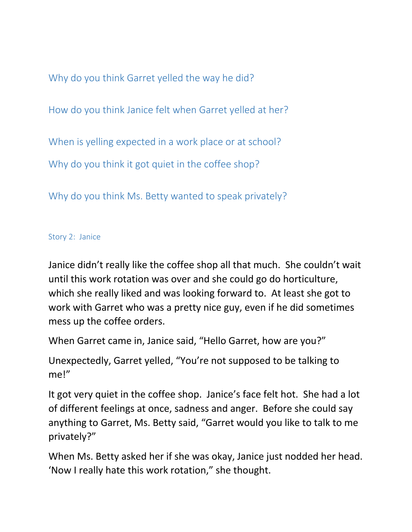Why do you think Garret yelled the way he did?

How do you think Janice felt when Garret yelled at her?

When is yelling expected in a work place or at school?

Why do you think it got quiet in the coffee shop?

Why do you think Ms. Betty wanted to speak privately?

## Story 2: Janice

Janice didn't really like the coffee shop all that much. She couldn't wait until this work rotation was over and she could go do horticulture, which she really liked and was looking forward to. At least she got to work with Garret who was a pretty nice guy, even if he did sometimes mess up the coffee orders.

When Garret came in, Janice said, "Hello Garret, how are you?"

Unexpectedly, Garret yelled, "You're not supposed to be talking to me!"

It got very quiet in the coffee shop. Janice's face felt hot. She had a lot of different feelings at once, sadness and anger. Before she could say anything to Garret, Ms. Betty said, "Garret would you like to talk to me privately?"

When Ms. Betty asked her if she was okay, Janice just nodded her head. 'Now I really hate this work rotation," she thought.